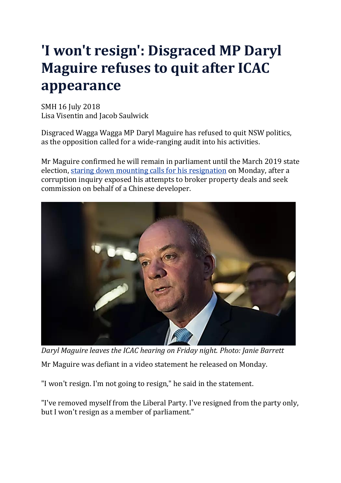## **'I won't resign': Disgraced MP Daryl Maguire refuses to quit after ICAC appearance**

SMH 16 July 2018 Lisa Visentin and Jacob Saulwick

Disgraced Wagga Wagga MP Daryl Maguire has refused to quit NSW politics, as the opposition called for a wide-ranging audit into his activities.

Mr Maguire confirmed he will remain in parliament until the March 2019 state election, staring down mounting calls for his [resignation](https://www.smh.com.au/politics/nsw/premier-pressures-disgraced-liberal-mp-to-quit-his-wagga-wagga-seat-20180715-p4zrn7.html) on Monday, after a corruption inquiry exposed his attempts to broker property deals and seek commission on behalf of a Chinese developer.



*Daryl Maguire leaves the ICAC hearing on Friday night. Photo: Janie Barrett* Mr Maguire was defiant in a video statement he released on Monday.

"I won't resign. I'm not going to resign," he said in the statement.

"I've removed myself from the Liberal Party. I've resigned from the party only, but I won't resign as a member of parliament."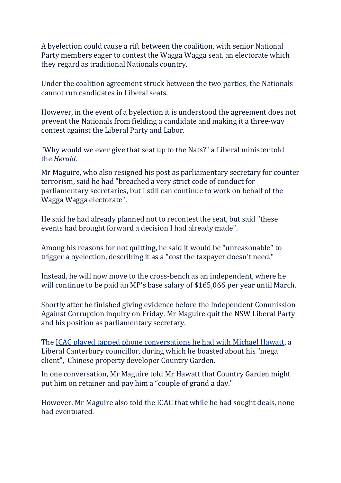A byelection could cause a rift between the coalition, with senior National Party members eager to contest the Wagga Wagga seat, an electorate which they regard as traditional Nationals country.

Under the coalition agreement struck between the two parties, the Nationals cannot run candidates in Liberal seats.

However, in the event of a byelection it is understood the agreement does not prevent the Nationals from fielding a candidate and making it a three-way contest against the Liberal Party and Labor.

"Why would we ever give that seat up to the Nats?" a Liberal minister told the *Herald*.

Mr Maguire, who also resigned his post as parliamentary secretary for counter terrorism, said he had "breached a very strict code of conduct for parliamentary secretaries, but I still can continue to work on behalf of the Wagga Wagga electorate".

He said he had already planned not to recontest the seat, but said "these events had brought forward a decision I had already made".

Among his reasons for not quitting, he said it would be "unreasonable" to trigger a byelection, describing it as a "cost the taxpayer doesn't need."

Instead, he will now move to the cross-bench as an independent, where he will continue to be paid an MP's base salary of \$165,066 per year until March.

Shortly after he finished giving evidence before the Independent Commission Against Corruption inquiry on Friday, Mr Maguire quit the NSW Liberal Party and his position as parliamentary secretary.

The ICAC played tapped phone [conversations](https://www.smh.com.au/link/follow-20170101-p4zrcl) he had with Michael Hawatt, a Liberal Canterbury councillor, during which he boasted about his "mega client", Chinese property developer Country Garden.

In one conversation, Mr Maguire told Mr Hawatt that Country Garden might put him on retainer and pay him a "couple of grand a day."

However, Mr Maguire also told the ICAC that while he had sought deals, none had eventuated.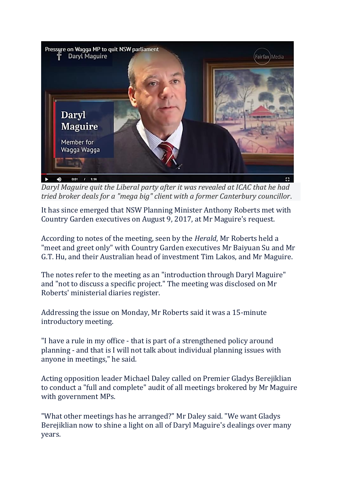

*Daryl Maguire quit the Liberal party after it was revealed at ICAC that he had tried broker deals for a "mega big" client with a former Canterbury councillor*.

It has since emerged that NSW Planning Minister Anthony Roberts met with Country Garden executives on August 9, 2017, at Mr Maguire's request.

According to notes of the meeting, seen by the *Herald*, Mr Roberts held a "meet and greet only" with Country Garden executives Mr Baiyuan Su and Mr G.T. Hu, and their Australian head of investment Tim Lakos, and Mr Maguire.

The notes refer to the meeting as an "introduction through Daryl Maguire" and "not to discuss a specific project." The meeting was disclosed on Mr Roberts' ministerial diaries register.

Addressing the issue on Monday, Mr Roberts said it was a 15-minute introductory meeting.

"I have a rule in my office - that is part of a strengthened policy around planning - and that is I will not talk about individual planning issues with anyone in meetings," he said.

Acting opposition leader Michael Daley called on Premier Gladys Berejiklian to conduct a "full and complete" audit of all meetings brokered by Mr Maguire with government MPs.

"What other meetings has he arranged?" Mr Daley said. "We want Gladys Berejiklian now to shine a light on all of Daryl Maguire's dealings over many years.